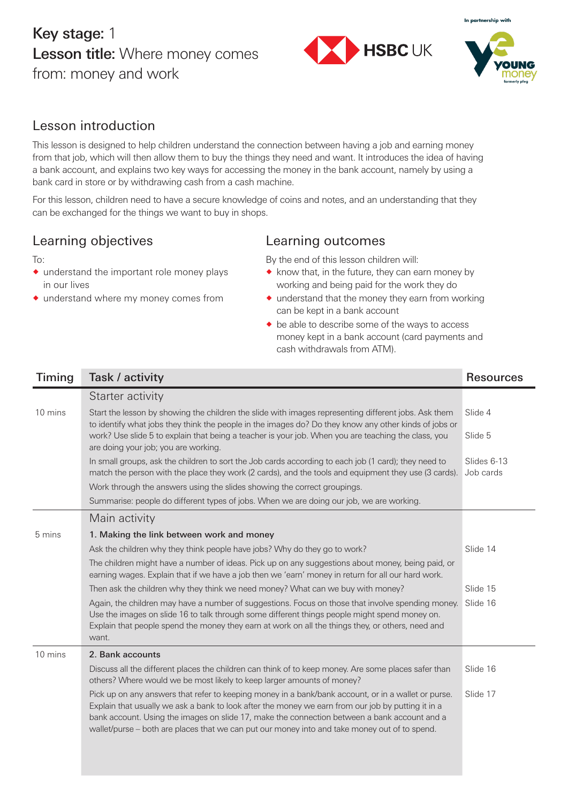# Key stage: 1 Lesson title: Where money comes from: money and work





### Lesson introduction

This lesson is designed to help children understand the connection between having a job and earning money from that job, which will then allow them to buy the things they need and want. It introduces the idea of having a bank account, and explains two key ways for accessing the money in the bank account, namely by using a bank card in store or by withdrawing cash from a cash machine.

For this lesson, children need to have a secure knowledge of coins and notes, and an understanding that they can be exchanged for the things we want to buy in shops.

# Learning objectives

#### To:

- $\bullet$  understand the important role money plays in our lives
- ® understand where my money comes from

#### Learning outcomes

By the end of this lesson children will:

- ® know that, in the future, they can earn money by working and being paid for the work they do
- ® understand that the money they earn from working can be kept in a bank account
- ® be able to describe some of the ways to access money kept in a bank account (card payments and cash withdrawals from ATM).

| Timing  | Task / activity                                                                                                                                                                                                                                                                                                                                                                                            | <b>Resources</b>         |
|---------|------------------------------------------------------------------------------------------------------------------------------------------------------------------------------------------------------------------------------------------------------------------------------------------------------------------------------------------------------------------------------------------------------------|--------------------------|
|         | Starter activity                                                                                                                                                                                                                                                                                                                                                                                           |                          |
| 10 mins | Start the lesson by showing the children the slide with images representing different jobs. Ask them<br>to identify what jobs they think the people in the images do? Do they know any other kinds of jobs or                                                                                                                                                                                              | Slide 4                  |
|         | work? Use slide 5 to explain that being a teacher is your job. When you are teaching the class, you<br>are doing your job; you are working.                                                                                                                                                                                                                                                                | Slide 5                  |
|         | In small groups, ask the children to sort the Job cards according to each job (1 card); they need to<br>match the person with the place they work (2 cards), and the tools and equipment they use (3 cards).                                                                                                                                                                                               | Slides 6-13<br>Job cards |
|         | Work through the answers using the slides showing the correct groupings.                                                                                                                                                                                                                                                                                                                                   |                          |
|         | Summarise: people do different types of jobs. When we are doing our job, we are working.                                                                                                                                                                                                                                                                                                                   |                          |
|         | Main activity                                                                                                                                                                                                                                                                                                                                                                                              |                          |
| 5 mins  | 1. Making the link between work and money                                                                                                                                                                                                                                                                                                                                                                  |                          |
|         | Ask the children why they think people have jobs? Why do they go to work?                                                                                                                                                                                                                                                                                                                                  | Slide 14                 |
|         | The children might have a number of ideas. Pick up on any suggestions about money, being paid, or<br>earning wages. Explain that if we have a job then we 'earn' money in return for all our hard work.                                                                                                                                                                                                    |                          |
|         | Then ask the children why they think we need money? What can we buy with money?                                                                                                                                                                                                                                                                                                                            | Slide 15                 |
|         | Again, the children may have a number of suggestions. Focus on those that involve spending money.<br>Use the images on slide 16 to talk through some different things people might spend money on.<br>Explain that people spend the money they earn at work on all the things they, or others, need and<br>want.                                                                                           | Slide 16                 |
| 10 mins | 2. Bank accounts                                                                                                                                                                                                                                                                                                                                                                                           |                          |
|         | Discuss all the different places the children can think of to keep money. Are some places safer than<br>others? Where would we be most likely to keep larger amounts of money?                                                                                                                                                                                                                             | Slide 16                 |
|         | Pick up on any answers that refer to keeping money in a bank/bank account, or in a wallet or purse.<br>Explain that usually we ask a bank to look after the money we earn from our job by putting it in a<br>bank account. Using the images on slide 17, make the connection between a bank account and a<br>wallet/purse - both are places that we can put our money into and take money out of to spend. | Slide 17                 |
|         |                                                                                                                                                                                                                                                                                                                                                                                                            |                          |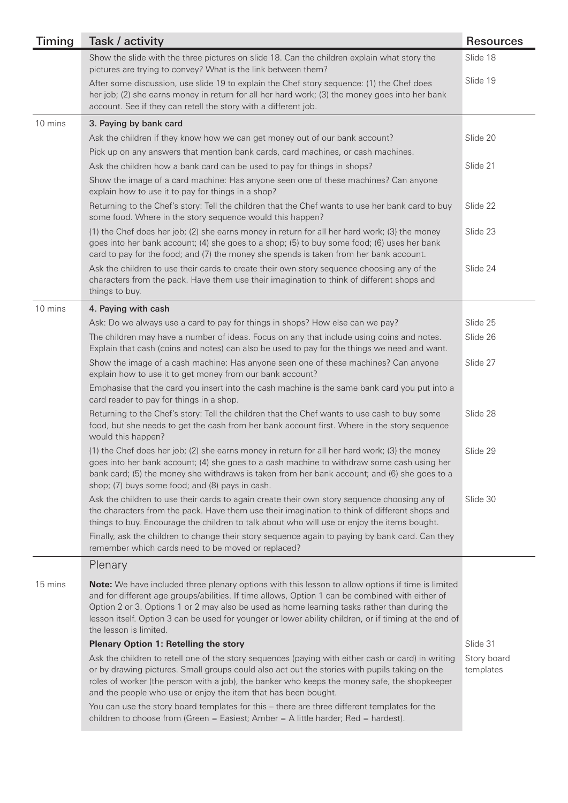| Timing  | Task / activity                                                                                                                                                                                                                                                                                                                                                                                                                         | <b>Resources</b>         |
|---------|-----------------------------------------------------------------------------------------------------------------------------------------------------------------------------------------------------------------------------------------------------------------------------------------------------------------------------------------------------------------------------------------------------------------------------------------|--------------------------|
|         | Show the slide with the three pictures on slide 18. Can the children explain what story the<br>pictures are trying to convey? What is the link between them?                                                                                                                                                                                                                                                                            | Slide 18                 |
|         | After some discussion, use slide 19 to explain the Chef story sequence: (1) the Chef does<br>her job; (2) she earns money in return for all her hard work; (3) the money goes into her bank<br>account. See if they can retell the story with a different job.                                                                                                                                                                          | Slide 19                 |
| 10 mins | 3. Paying by bank card                                                                                                                                                                                                                                                                                                                                                                                                                  |                          |
|         | Ask the children if they know how we can get money out of our bank account?                                                                                                                                                                                                                                                                                                                                                             | Slide 20                 |
|         | Pick up on any answers that mention bank cards, card machines, or cash machines.                                                                                                                                                                                                                                                                                                                                                        |                          |
|         | Ask the children how a bank card can be used to pay for things in shops?                                                                                                                                                                                                                                                                                                                                                                | Slide 21                 |
|         | Show the image of a card machine: Has anyone seen one of these machines? Can anyone<br>explain how to use it to pay for things in a shop?                                                                                                                                                                                                                                                                                               |                          |
|         | Returning to the Chef's story: Tell the children that the Chef wants to use her bank card to buy<br>some food. Where in the story sequence would this happen?                                                                                                                                                                                                                                                                           | Slide 22                 |
|         | (1) the Chef does her job; (2) she earns money in return for all her hard work; (3) the money<br>goes into her bank account; (4) she goes to a shop; (5) to buy some food; (6) uses her bank<br>card to pay for the food; and (7) the money she spends is taken from her bank account.                                                                                                                                                  | Slide 23                 |
|         | Ask the children to use their cards to create their own story sequence choosing any of the<br>characters from the pack. Have them use their imagination to think of different shops and<br>things to buy.                                                                                                                                                                                                                               | Slide 24                 |
| 10 mins | 4. Paying with cash                                                                                                                                                                                                                                                                                                                                                                                                                     |                          |
|         | Ask: Do we always use a card to pay for things in shops? How else can we pay?                                                                                                                                                                                                                                                                                                                                                           | Slide 25                 |
|         | The children may have a number of ideas. Focus on any that include using coins and notes.<br>Explain that cash (coins and notes) can also be used to pay for the things we need and want.                                                                                                                                                                                                                                               | Slide 26                 |
|         | Show the image of a cash machine: Has anyone seen one of these machines? Can anyone<br>explain how to use it to get money from our bank account?                                                                                                                                                                                                                                                                                        | Slide 27                 |
|         | Emphasise that the card you insert into the cash machine is the same bank card you put into a<br>card reader to pay for things in a shop.                                                                                                                                                                                                                                                                                               |                          |
|         | Returning to the Chef's story: Tell the children that the Chef wants to use cash to buy some<br>food, but she needs to get the cash from her bank account first. Where in the story sequence<br>would this happen?                                                                                                                                                                                                                      | Slide 28                 |
|         | (1) the Chef does her job; (2) she earns money in return for all her hard work; (3) the money<br>goes into her bank account; (4) she goes to a cash machine to withdraw some cash using her<br>bank card; (5) the money she withdraws is taken from her bank account; and (6) she goes to a<br>shop; (7) buys some food; and (8) pays in cash.                                                                                          | Slide 29                 |
|         | Ask the children to use their cards to again create their own story sequence choosing any of<br>the characters from the pack. Have them use their imagination to think of different shops and<br>things to buy. Encourage the children to talk about who will use or enjoy the items bought.                                                                                                                                            | Slide 30                 |
|         | Finally, ask the children to change their story sequence again to paying by bank card. Can they<br>remember which cards need to be moved or replaced?                                                                                                                                                                                                                                                                                   |                          |
|         | Plenary                                                                                                                                                                                                                                                                                                                                                                                                                                 |                          |
| 15 mins | Note: We have included three plenary options with this lesson to allow options if time is limited<br>and for different age groups/abilities. If time allows, Option 1 can be combined with either of<br>Option 2 or 3. Options 1 or 2 may also be used as home learning tasks rather than during the<br>lesson itself. Option 3 can be used for younger or lower ability children, or if timing at the end of<br>the lesson is limited. |                          |
|         | <b>Plenary Option 1: Retelling the story</b>                                                                                                                                                                                                                                                                                                                                                                                            | Slide 31                 |
|         | Ask the children to retell one of the story sequences (paying with either cash or card) in writing<br>or by drawing pictures. Small groups could also act out the stories with pupils taking on the<br>roles of worker (the person with a job), the banker who keeps the money safe, the shopkeeper<br>and the people who use or enjoy the item that has been bought.                                                                   | Story board<br>templates |
|         | You can use the story board templates for this - there are three different templates for the<br>children to choose from (Green = Easiest; Amber = A little harder; Red = hardest).                                                                                                                                                                                                                                                      |                          |